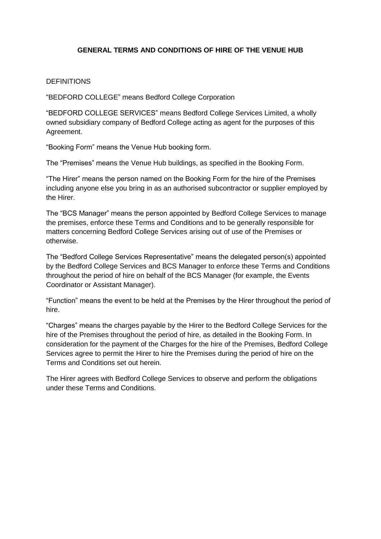## **GENERAL TERMS AND CONDITIONS OF HIRE OF THE VENUE HUB**

### **DEFINITIONS**

"BEDFORD COLLEGE" means Bedford College Corporation

"BEDFORD COLLEGE SERVICES" means Bedford College Services Limited, a wholly owned subsidiary company of Bedford College acting as agent for the purposes of this Agreement.

"Booking Form" means the Venue Hub booking form.

The "Premises" means the Venue Hub buildings, as specified in the Booking Form.

"The Hirer" means the person named on the Booking Form for the hire of the Premises including anyone else you bring in as an authorised subcontractor or supplier employed by the Hirer.

The "BCS Manager" means the person appointed by Bedford College Services to manage the premises, enforce these Terms and Conditions and to be generally responsible for matters concerning Bedford College Services arising out of use of the Premises or otherwise.

The "Bedford College Services Representative" means the delegated person(s) appointed by the Bedford College Services and BCS Manager to enforce these Terms and Conditions throughout the period of hire on behalf of the BCS Manager (for example, the Events Coordinator or Assistant Manager).

"Function" means the event to be held at the Premises by the Hirer throughout the period of hire.

"Charges" means the charges payable by the Hirer to the Bedford College Services for the hire of the Premises throughout the period of hire, as detailed in the Booking Form. In consideration for the payment of the Charges for the hire of the Premises, Bedford College Services agree to permit the Hirer to hire the Premises during the period of hire on the Terms and Conditions set out herein.

The Hirer agrees with Bedford College Services to observe and perform the obligations under these Terms and Conditions.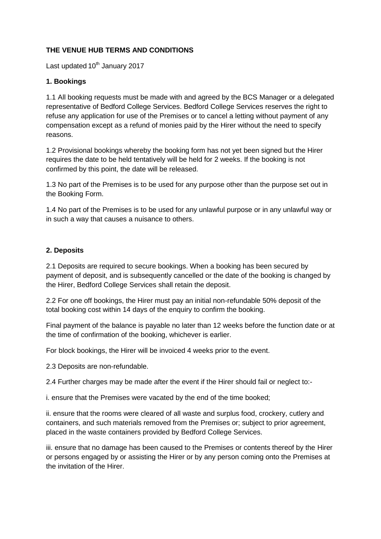# **THE VENUE HUB TERMS AND CONDITIONS**

Last updated 10<sup>th</sup> January 2017

### **1. Bookings**

1.1 All booking requests must be made with and agreed by the BCS Manager or a delegated representative of Bedford College Services. Bedford College Services reserves the right to refuse any application for use of the Premises or to cancel a letting without payment of any compensation except as a refund of monies paid by the Hirer without the need to specify reasons.

1.2 Provisional bookings whereby the booking form has not yet been signed but the Hirer requires the date to be held tentatively will be held for 2 weeks. If the booking is not confirmed by this point, the date will be released.

1.3 No part of the Premises is to be used for any purpose other than the purpose set out in the Booking Form.

1.4 No part of the Premises is to be used for any unlawful purpose or in any unlawful way or in such a way that causes a nuisance to others.

#### **2. Deposits**

2.1 Deposits are required to secure bookings. When a booking has been secured by payment of deposit, and is subsequently cancelled or the date of the booking is changed by the Hirer, Bedford College Services shall retain the deposit.

2.2 For one off bookings, the Hirer must pay an initial non-refundable 50% deposit of the total booking cost within 14 days of the enquiry to confirm the booking.

Final payment of the balance is payable no later than 12 weeks before the function date or at the time of confirmation of the booking, whichever is earlier.

For block bookings, the Hirer will be invoiced 4 weeks prior to the event.

2.3 Deposits are non-refundable.

2.4 Further charges may be made after the event if the Hirer should fail or neglect to:-

i. ensure that the Premises were vacated by the end of the time booked;

ii. ensure that the rooms were cleared of all waste and surplus food, crockery, cutlery and containers, and such materials removed from the Premises or; subject to prior agreement, placed in the waste containers provided by Bedford College Services.

iii. ensure that no damage has been caused to the Premises or contents thereof by the Hirer or persons engaged by or assisting the Hirer or by any person coming onto the Premises at the invitation of the Hirer.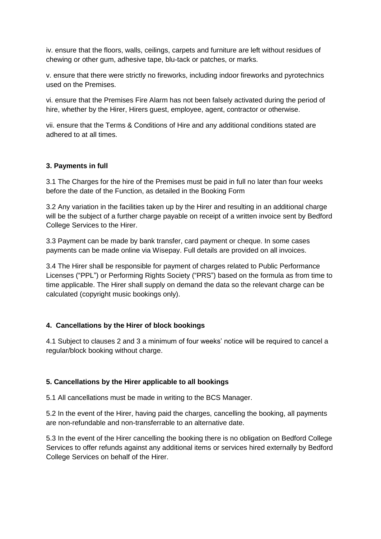iv. ensure that the floors, walls, ceilings, carpets and furniture are left without residues of chewing or other gum, adhesive tape, blu-tack or patches, or marks.

v. ensure that there were strictly no fireworks, including indoor fireworks and pyrotechnics used on the Premises.

vi. ensure that the Premises Fire Alarm has not been falsely activated during the period of hire, whether by the Hirer, Hirers guest, employee, agent, contractor or otherwise.

vii. ensure that the Terms & Conditions of Hire and any additional conditions stated are adhered to at all times.

## **3. Payments in full**

3.1 The Charges for the hire of the Premises must be paid in full no later than four weeks before the date of the Function, as detailed in the Booking Form

3.2 Any variation in the facilities taken up by the Hirer and resulting in an additional charge will be the subject of a further charge payable on receipt of a written invoice sent by Bedford College Services to the Hirer.

3.3 Payment can be made by bank transfer, card payment or cheque. In some cases payments can be made online via Wisepay. Full details are provided on all invoices.

3.4 The Hirer shall be responsible for payment of charges related to Public Performance Licenses ("PPL") or Performing Rights Society ("PRS") based on the formula as from time to time applicable. The Hirer shall supply on demand the data so the relevant charge can be calculated (copyright music bookings only).

### **4. Cancellations by the Hirer of block bookings**

4.1 Subject to clauses 2 and 3 a minimum of four weeks' notice will be required to cancel a regular/block booking without charge.

### **5. Cancellations by the Hirer applicable to all bookings**

5.1 All cancellations must be made in writing to the BCS Manager.

5.2 In the event of the Hirer, having paid the charges, cancelling the booking, all payments are non-refundable and non-transferrable to an alternative date.

5.3 In the event of the Hirer cancelling the booking there is no obligation on Bedford College Services to offer refunds against any additional items or services hired externally by Bedford College Services on behalf of the Hirer.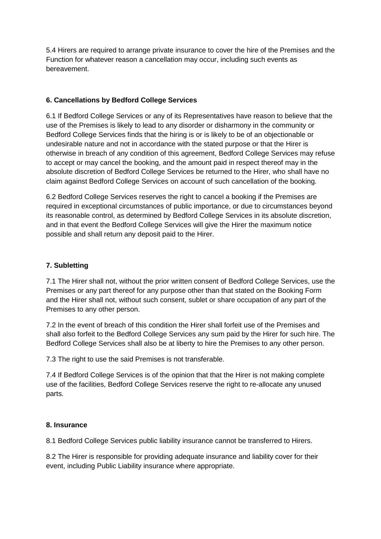5.4 Hirers are required to arrange private insurance to cover the hire of the Premises and the Function for whatever reason a cancellation may occur, including such events as bereavement.

# **6. Cancellations by Bedford College Services**

6.1 If Bedford College Services or any of its Representatives have reason to believe that the use of the Premises is likely to lead to any disorder or disharmony in the community or Bedford College Services finds that the hiring is or is likely to be of an objectionable or undesirable nature and not in accordance with the stated purpose or that the Hirer is otherwise in breach of any condition of this agreement, Bedford College Services may refuse to accept or may cancel the booking, and the amount paid in respect thereof may in the absolute discretion of Bedford College Services be returned to the Hirer, who shall have no claim against Bedford College Services on account of such cancellation of the booking.

6.2 Bedford College Services reserves the right to cancel a booking if the Premises are required in exceptional circumstances of public importance, or due to circumstances beyond its reasonable control, as determined by Bedford College Services in its absolute discretion, and in that event the Bedford College Services will give the Hirer the maximum notice possible and shall return any deposit paid to the Hirer.

# **7. Subletting**

7.1 The Hirer shall not, without the prior written consent of Bedford College Services, use the Premises or any part thereof for any purpose other than that stated on the Booking Form and the Hirer shall not, without such consent, sublet or share occupation of any part of the Premises to any other person.

7.2 In the event of breach of this condition the Hirer shall forfeit use of the Premises and shall also forfeit to the Bedford College Services any sum paid by the Hirer for such hire. The Bedford College Services shall also be at liberty to hire the Premises to any other person.

7.3 The right to use the said Premises is not transferable.

7.4 If Bedford College Services is of the opinion that that the Hirer is not making complete use of the facilities, Bedford College Services reserve the right to re-allocate any unused parts.

# **8. Insurance**

8.1 Bedford College Services public liability insurance cannot be transferred to Hirers.

8.2 The Hirer is responsible for providing adequate insurance and liability cover for their event, including Public Liability insurance where appropriate.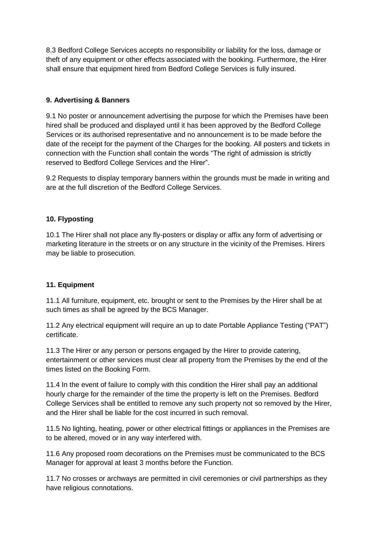8.3 Bedford College Services accepts no responsibility or liability for the loss, damage or theft of any equipment or other effects associated with the booking. Furthermore, the Hirer shall ensure that equipment hired from Bedford College Services is fully insured.

# **9. Advertising & Banners**

9.1 No poster or announcement advertising the purpose for which the Premises have been hired shall be produced and displayed until it has been approved by the Bedford College Services or its authorised representative and no announcement is to be made before the date of the receipt for the payment of the Charges for the booking. All posters and tickets in connection with the Function shall contain the words "The right of admission is strictly reserved to Bedford College Services and the Hirer".

9.2 Requests to display temporary banners within the grounds must be made in writing and are at the full discretion of the Bedford College Services.

# **10. Flyposting**

10.1 The Hirer shall not place any fly-posters or display or affix any form of advertising or marketing literature in the streets or on any structure in the vicinity of the Premises. Hirers may be liable to prosecution.

# **11. Equipment**

11.1 All furniture, equipment, etc. brought or sent to the Premises by the Hirer shall be at such times as shall be agreed by the BCS Manager.

11.2 Any electrical equipment will require an up to date Portable Appliance Testing ("PAT") certificate.

11.3 The Hirer or any person or persons engaged by the Hirer to provide catering, entertainment or other services must clear all property from the Premises by the end of the times listed on the Booking Form.

11.4 In the event of failure to comply with this condition the Hirer shall pay an additional hourly charge for the remainder of the time the property is left on the Premises. Bedford College Services shall be entitled to remove any such property not so removed by the Hirer, and the Hirer shall be liable for the cost incurred in such removal.

11.5 No lighting, heating, power or other electrical fittings or appliances in the Premises are to be altered, moved or in any way interfered with.

11.6 Any proposed room decorations on the Premises must be communicated to the BCS Manager for approval at least 3 months before the Function.

11.7 No crosses or archways are permitted in civil ceremonies or civil partnerships as they have religious connotations.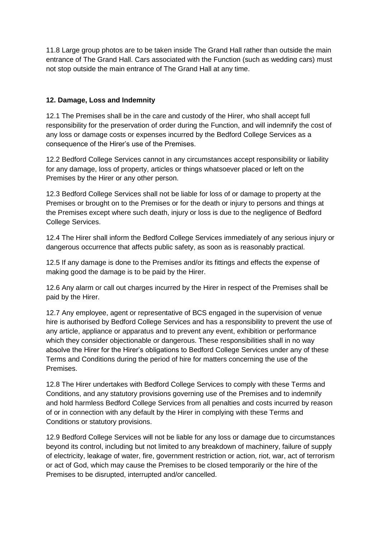11.8 Large group photos are to be taken inside The Grand Hall rather than outside the main entrance of The Grand Hall. Cars associated with the Function (such as wedding cars) must not stop outside the main entrance of The Grand Hall at any time.

# **12. Damage, Loss and Indemnity**

12.1 The Premises shall be in the care and custody of the Hirer, who shall accept full responsibility for the preservation of order during the Function, and will indemnify the cost of any loss or damage costs or expenses incurred by the Bedford College Services as a consequence of the Hirer's use of the Premises.

12.2 Bedford College Services cannot in any circumstances accept responsibility or liability for any damage, loss of property, articles or things whatsoever placed or left on the Premises by the Hirer or any other person.

12.3 Bedford College Services shall not be liable for loss of or damage to property at the Premises or brought on to the Premises or for the death or injury to persons and things at the Premises except where such death, injury or loss is due to the negligence of Bedford College Services.

12.4 The Hirer shall inform the Bedford College Services immediately of any serious injury or dangerous occurrence that affects public safety, as soon as is reasonably practical.

12.5 If any damage is done to the Premises and/or its fittings and effects the expense of making good the damage is to be paid by the Hirer.

12.6 Any alarm or call out charges incurred by the Hirer in respect of the Premises shall be paid by the Hirer.

12.7 Any employee, agent or representative of BCS engaged in the supervision of venue hire is authorised by Bedford College Services and has a responsibility to prevent the use of any article, appliance or apparatus and to prevent any event, exhibition or performance which they consider objectionable or dangerous. These responsibilities shall in no way absolve the Hirer for the Hirer's obligations to Bedford College Services under any of these Terms and Conditions during the period of hire for matters concerning the use of the Premises.

12.8 The Hirer undertakes with Bedford College Services to comply with these Terms and Conditions, and any statutory provisions governing use of the Premises and to indemnify and hold harmless Bedford College Services from all penalties and costs incurred by reason of or in connection with any default by the Hirer in complying with these Terms and Conditions or statutory provisions.

12.9 Bedford College Services will not be liable for any loss or damage due to circumstances beyond its control, including but not limited to any breakdown of machinery, failure of supply of electricity, leakage of water, fire, government restriction or action, riot, war, act of terrorism or act of God, which may cause the Premises to be closed temporarily or the hire of the Premises to be disrupted, interrupted and/or cancelled.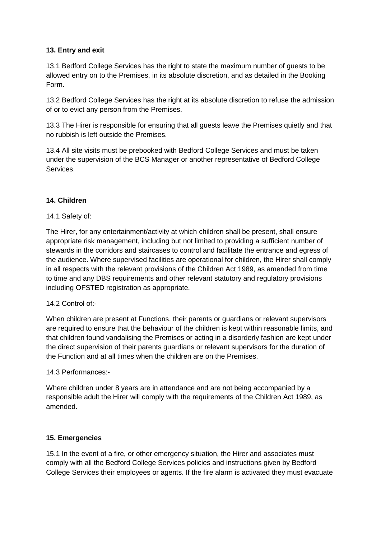# **13. Entry and exit**

13.1 Bedford College Services has the right to state the maximum number of guests to be allowed entry on to the Premises, in its absolute discretion, and as detailed in the Booking Form.

13.2 Bedford College Services has the right at its absolute discretion to refuse the admission of or to evict any person from the Premises.

13.3 The Hirer is responsible for ensuring that all guests leave the Premises quietly and that no rubbish is left outside the Premises.

13.4 All site visits must be prebooked with Bedford College Services and must be taken under the supervision of the BCS Manager or another representative of Bedford College Services.

# **14. Children**

# 14.1 Safety of:

The Hirer, for any entertainment/activity at which children shall be present, shall ensure appropriate risk management, including but not limited to providing a sufficient number of stewards in the corridors and staircases to control and facilitate the entrance and egress of the audience. Where supervised facilities are operational for children, the Hirer shall comply in all respects with the relevant provisions of the Children Act 1989, as amended from time to time and any DBS requirements and other relevant statutory and regulatory provisions including OFSTED registration as appropriate.

# 14.2 Control of:-

When children are present at Functions, their parents or guardians or relevant supervisors are required to ensure that the behaviour of the children is kept within reasonable limits, and that children found vandalising the Premises or acting in a disorderly fashion are kept under the direct supervision of their parents guardians or relevant supervisors for the duration of the Function and at all times when the children are on the Premises.

# 14.3 Performances:-

Where children under 8 years are in attendance and are not being accompanied by a responsible adult the Hirer will comply with the requirements of the Children Act 1989, as amended.

# **15. Emergencies**

15.1 In the event of a fire, or other emergency situation, the Hirer and associates must comply with all the Bedford College Services policies and instructions given by Bedford College Services their employees or agents. If the fire alarm is activated they must evacuate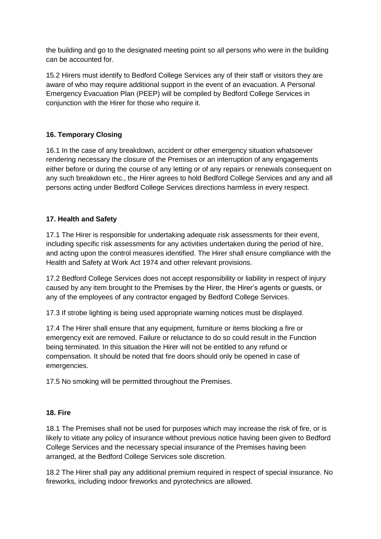the building and go to the designated meeting point so all persons who were in the building can be accounted for.

15.2 Hirers must identify to Bedford College Services any of their staff or visitors they are aware of who may require additional support in the event of an evacuation. A Personal Emergency Evacuation Plan (PEEP) will be compiled by Bedford College Services in conjunction with the Hirer for those who require it.

# **16. Temporary Closing**

16.1 In the case of any breakdown, accident or other emergency situation whatsoever rendering necessary the closure of the Premises or an interruption of any engagements either before or during the course of any letting or of any repairs or renewals consequent on any such breakdown etc., the Hirer agrees to hold Bedford College Services and any and all persons acting under Bedford College Services directions harmless in every respect.

# **17. Health and Safety**

17.1 The Hirer is responsible for undertaking adequate risk assessments for their event, including specific risk assessments for any activities undertaken during the period of hire, and acting upon the control measures identified. The Hirer shall ensure compliance with the Health and Safety at Work Act 1974 and other relevant provisions.

17.2 Bedford College Services does not accept responsibility or liability in respect of injury caused by any item brought to the Premises by the Hirer, the Hirer's agents or guests, or any of the employees of any contractor engaged by Bedford College Services.

17.3 If strobe lighting is being used appropriate warning notices must be displayed.

17.4 The Hirer shall ensure that any equipment, furniture or items blocking a fire or emergency exit are removed. Failure or reluctance to do so could result in the Function being terminated. In this situation the Hirer will not be entitled to any refund or compensation. It should be noted that fire doors should only be opened in case of emergencies.

17.5 No smoking will be permitted throughout the Premises.

### **18. Fire**

18.1 The Premises shall not be used for purposes which may increase the risk of fire, or is likely to vitiate any policy of insurance without previous notice having been given to Bedford College Services and the necessary special insurance of the Premises having been arranged, at the Bedford College Services sole discretion.

18.2 The Hirer shall pay any additional premium required in respect of special insurance. No fireworks, including indoor fireworks and pyrotechnics are allowed.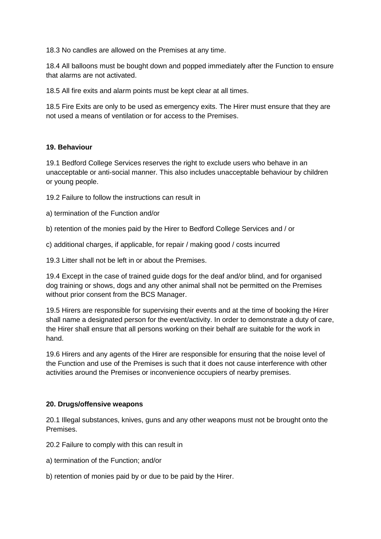18.3 No candles are allowed on the Premises at any time.

18.4 All balloons must be bought down and popped immediately after the Function to ensure that alarms are not activated.

18.5 All fire exits and alarm points must be kept clear at all times.

18.5 Fire Exits are only to be used as emergency exits. The Hirer must ensure that they are not used a means of ventilation or for access to the Premises.

# **19. Behaviour**

19.1 Bedford College Services reserves the right to exclude users who behave in an unacceptable or anti-social manner. This also includes unacceptable behaviour by children or young people.

- 19.2 Failure to follow the instructions can result in
- a) termination of the Function and/or
- b) retention of the monies paid by the Hirer to Bedford College Services and / or
- c) additional charges, if applicable, for repair / making good / costs incurred

19.3 Litter shall not be left in or about the Premises.

19.4 Except in the case of trained guide dogs for the deaf and/or blind, and for organised dog training or shows, dogs and any other animal shall not be permitted on the Premises without prior consent from the BCS Manager.

19.5 Hirers are responsible for supervising their events and at the time of booking the Hirer shall name a designated person for the event/activity. In order to demonstrate a duty of care, the Hirer shall ensure that all persons working on their behalf are suitable for the work in hand.

19.6 Hirers and any agents of the Hirer are responsible for ensuring that the noise level of the Function and use of the Premises is such that it does not cause interference with other activities around the Premises or inconvenience occupiers of nearby premises.

### **20. Drugs/offensive weapons**

20.1 Illegal substances, knives, guns and any other weapons must not be brought onto the Premises.

20.2 Failure to comply with this can result in

- a) termination of the Function; and/or
- b) retention of monies paid by or due to be paid by the Hirer.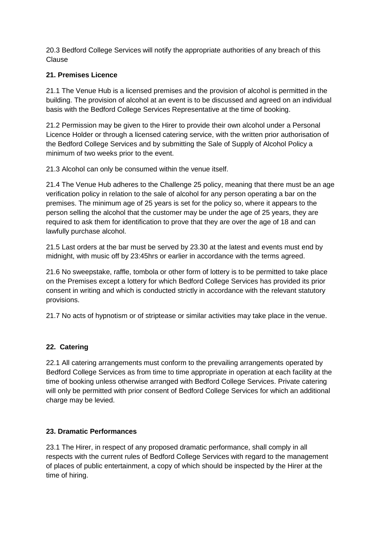20.3 Bedford College Services will notify the appropriate authorities of any breach of this Clause

# **21. Premises Licence**

21.1 The Venue Hub is a licensed premises and the provision of alcohol is permitted in the building. The provision of alcohol at an event is to be discussed and agreed on an individual basis with the Bedford College Services Representative at the time of booking.

21.2 Permission may be given to the Hirer to provide their own alcohol under a Personal Licence Holder or through a licensed catering service, with the written prior authorisation of the Bedford College Services and by submitting the Sale of Supply of Alcohol Policy a minimum of two weeks prior to the event.

21.3 Alcohol can only be consumed within the venue itself.

21.4 The Venue Hub adheres to the Challenge 25 policy, meaning that there must be an age verification policy in relation to the sale of alcohol for any person operating a bar on the premises. The minimum age of 25 years is set for the policy so, where it appears to the person selling the alcohol that the customer may be under the age of 25 years, they are required to ask them for identification to prove that they are over the age of 18 and can lawfully purchase alcohol.

21.5 Last orders at the bar must be served by 23.30 at the latest and events must end by midnight, with music off by 23:45hrs or earlier in accordance with the terms agreed.

21.6 No sweepstake, raffle, tombola or other form of lottery is to be permitted to take place on the Premises except a lottery for which Bedford College Services has provided its prior consent in writing and which is conducted strictly in accordance with the relevant statutory provisions.

21.7 No acts of hypnotism or of striptease or similar activities may take place in the venue.

# **22. Catering**

22.1 All catering arrangements must conform to the prevailing arrangements operated by Bedford College Services as from time to time appropriate in operation at each facility at the time of booking unless otherwise arranged with Bedford College Services. Private catering will only be permitted with prior consent of Bedford College Services for which an additional charge may be levied.

# **23. Dramatic Performances**

23.1 The Hirer, in respect of any proposed dramatic performance, shall comply in all respects with the current rules of Bedford College Services with regard to the management of places of public entertainment, a copy of which should be inspected by the Hirer at the time of hiring.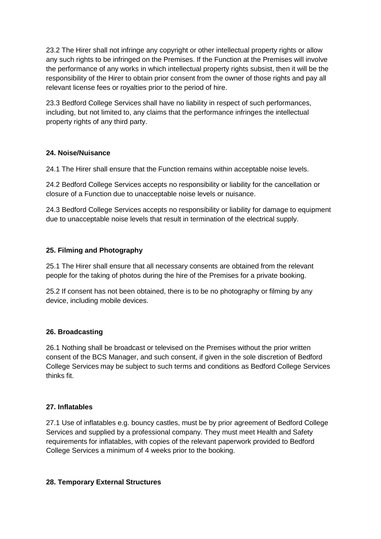23.2 The Hirer shall not infringe any copyright or other intellectual property rights or allow any such rights to be infringed on the Premises. If the Function at the Premises will involve the performance of any works in which intellectual property rights subsist, then it will be the responsibility of the Hirer to obtain prior consent from the owner of those rights and pay all relevant license fees or royalties prior to the period of hire.

23.3 Bedford College Services shall have no liability in respect of such performances, including, but not limited to, any claims that the performance infringes the intellectual property rights of any third party.

## **24. Noise/Nuisance**

24.1 The Hirer shall ensure that the Function remains within acceptable noise levels.

24.2 Bedford College Services accepts no responsibility or liability for the cancellation or closure of a Function due to unacceptable noise levels or nuisance.

24.3 Bedford College Services accepts no responsibility or liability for damage to equipment due to unacceptable noise levels that result in termination of the electrical supply.

## **25. Filming and Photography**

25.1 The Hirer shall ensure that all necessary consents are obtained from the relevant people for the taking of photos during the hire of the Premises for a private booking.

25.2 If consent has not been obtained, there is to be no photography or filming by any device, including mobile devices.

# **26. Broadcasting**

26.1 Nothing shall be broadcast or televised on the Premises without the prior written consent of the BCS Manager, and such consent, if given in the sole discretion of Bedford College Services may be subject to such terms and conditions as Bedford College Services thinks fit.

### **27. Inflatables**

27.1 Use of inflatables e.g. bouncy castles, must be by prior agreement of Bedford College Services and supplied by a professional company. They must meet Health and Safety requirements for inflatables, with copies of the relevant paperwork provided to Bedford College Services a minimum of 4 weeks prior to the booking.

### **28. Temporary External Structures**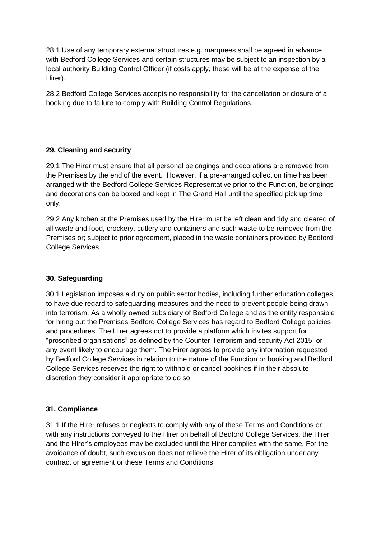28.1 Use of any temporary external structures e.g. marquees shall be agreed in advance with Bedford College Services and certain structures may be subject to an inspection by a local authority Building Control Officer (if costs apply, these will be at the expense of the Hirer).

28.2 Bedford College Services accepts no responsibility for the cancellation or closure of a booking due to failure to comply with Building Control Regulations.

# **29. Cleaning and security**

29.1 The Hirer must ensure that all personal belongings and decorations are removed from the Premises by the end of the event. However, if a pre-arranged collection time has been arranged with the Bedford College Services Representative prior to the Function, belongings and decorations can be boxed and kept in The Grand Hall until the specified pick up time only.

29.2 Any kitchen at the Premises used by the Hirer must be left clean and tidy and cleared of all waste and food, crockery, cutlery and containers and such waste to be removed from the Premises or; subject to prior agreement, placed in the waste containers provided by Bedford College Services.

### **30. Safeguarding**

30.1 Legislation imposes a duty on public sector bodies, including further education colleges, to have due regard to safeguarding measures and the need to prevent people being drawn into terrorism. As a wholly owned subsidiary of Bedford College and as the entity responsible for hiring out the Premises Bedford College Services has regard to Bedford College policies and procedures. The Hirer agrees not to provide a platform which invites support for "proscribed organisations" as defined by the Counter-Terrorism and security Act 2015, or any event likely to encourage them. The Hirer agrees to provide any information requested by Bedford College Services in relation to the nature of the Function or booking and Bedford College Services reserves the right to withhold or cancel bookings if in their absolute discretion they consider it appropriate to do so.

### **31. Compliance**

31.1 If the Hirer refuses or neglects to comply with any of these Terms and Conditions or with any instructions conveyed to the Hirer on behalf of Bedford College Services, the Hirer and the Hirer's employees may be excluded until the Hirer complies with the same. For the avoidance of doubt, such exclusion does not relieve the Hirer of its obligation under any contract or agreement or these Terms and Conditions.